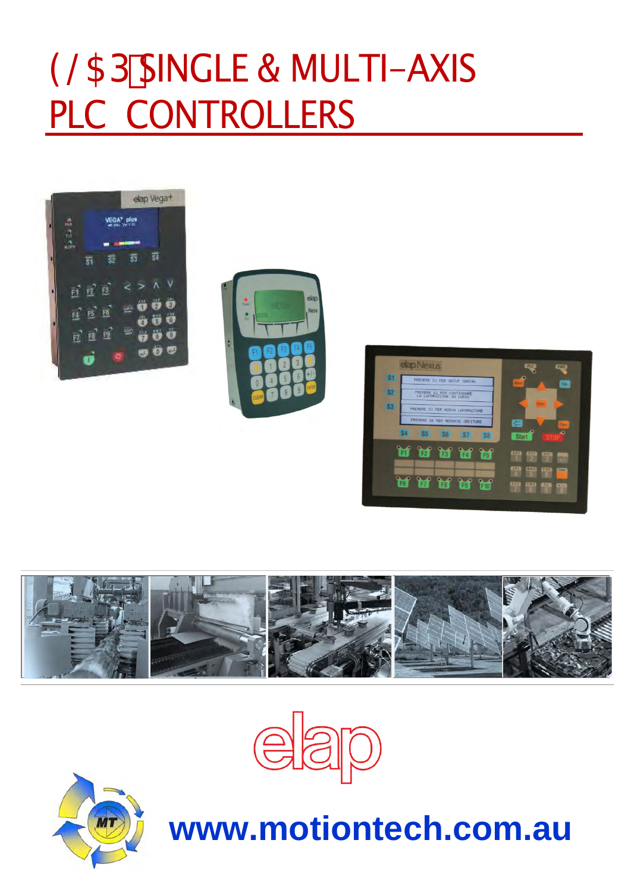# 9@5D'SINGLE & MULTI-AXIS PLC CONTROLLERS













# **www.motiontech.com.au**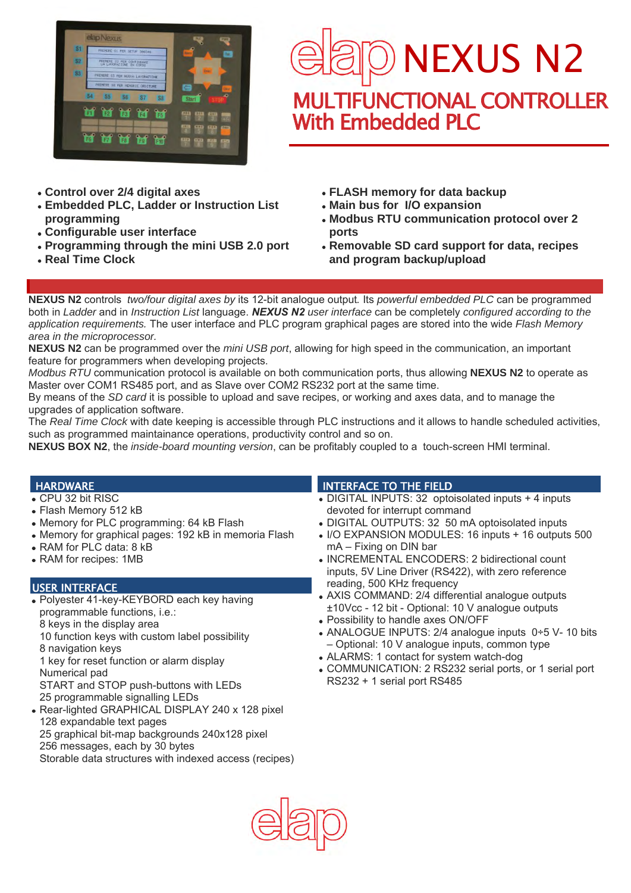



- **Control over 2/4 digital axes**
- **Embedded PLC, Ladder or Instruction List programming**
- **Configurable user interface**
- **Programming through the mini USB 2.0 port**
- **Real Time Clock**
- **FLASH memory for data backup**
- **Main bus for I/O expansion**
- **Modbus RTU communication protocol over 2 ports**
- **Removable SD card support for data, recipes and program backup/upload**

**NEXUS N2** controls *two/four digital axes by* its 12-bit analogue output*.* Its *powerful embedded PLC* can be programmed both in *Ladder* and in *Instruction List* language. *NEXUS N2 user interface* can be completely *configured according to the application requirements.* The user interface and PLC program graphical pages are stored into the wide *Flash Memory area in the microprocessor.* 

**NEXUS N2** can be programmed over the *mini USB port*, allowing for high speed in the communication, an important feature for programmers when developing projects.

*Modbus RTU* communication protocol is available on both communication ports, thus allowing **NEXUS N2** to operate as Master over COM1 RS485 port, and as Slave over COM2 RS232 port at the same time.

By means of the *SD card* it is possible to upload and save recipes, or working and axes data, and to manage the upgrades of application software.

The *Real Time Clock* with date keeping is accessible through PLC instructions and it allows to handle scheduled activities, such as programmed maintainance operations, productivity control and so on.

**NEXUS BOX N2**, the *inside-board mounting version*, can be profitably coupled to a touch-screen HMI terminal.

### **HARDWARE**

- CPU 32 bit RISC
- Flash Memory 512 kB
- Memory for PLC programming: 64 kB Flash
- Memory for graphical pages: 192 kB in memoria Flash
- RAM for PLC data: 8 kB
- RAM for recipes: 1MB

### USER INTERFACE

Polyester 41-key-KEYBORD each key having programmable functions, i.e.: 8 keys in the display area

10 function keys with custom label possibility

8 navigation keys

1 key for reset function or alarm display Numerical pad

START and STOP push-buttons with LEDs 25 programmable signalling LEDs

• Rear-lighted GRAPHICAL DISPLAY 240 x 128 pixel 128 expandable text pages 25 graphical bit-map backgrounds 240x128 pixel 256 messages, each by 30 bytes

Storable data structures with indexed access (recipes)

### INTERFACE TO THE FIELD

- DIGITAL INPUTS: 32 optoisolated inputs + 4 inputs devoted for interrupt command
- DIGITAL OUTPUTS: 32 50 mA optoisolated inputs
- I/O EXPANSION MODULES: 16 inputs + 16 outputs 500 mA – Fixing on DIN bar
- INCREMENTAL ENCODERS: 2 bidirectional count inputs, 5V Line Driver (RS422), with zero reference reading, 500 KHz frequency
- AXIS COMMAND: 2/4 differential analogue outputs ±10Vcc - 12 bit - Optional: 10 V analogue outputs
- Possibility to handle axes ON/OFF
- ANALOGUE INPUTS: 2/4 analogue inputs 0÷5 V- 10 bits – Optional: 10 V analogue inputs, common type
- ALARMS: 1 contact for system watch-dog
- COMMUNICATION: 2 RS232 serial ports, or 1 serial port RS232 + 1 serial port RS485

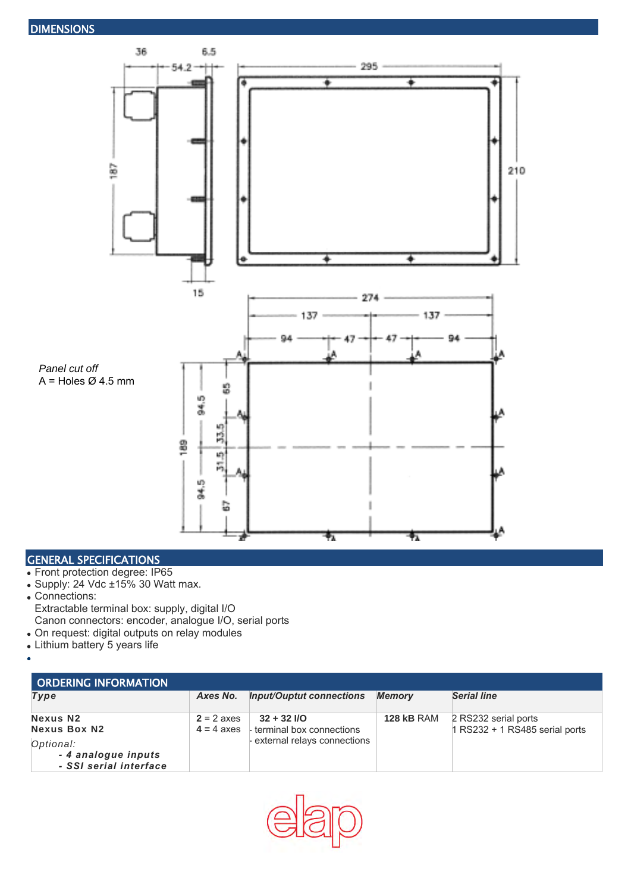

#### GENERAL SPECIFICATIONS

- Front protection degree: IP65
- Supply: 24 Vdc ±15% 30 Watt max. Connections: Extractable terminal box: supply, digital I/O
	- Canon connectors: encoder, analogue I/O, serial ports
- On request: digital outputs on relay modules
- Lithium battery 5 years life
- 

| <b>ORDERING INFORMATION</b>                                |              |                                                          |                   |                                                          |  |  |  |
|------------------------------------------------------------|--------------|----------------------------------------------------------|-------------------|----------------------------------------------------------|--|--|--|
| Type                                                       | Axes No.     | <b>Input/Ouptut connections</b>                          | <b>Memory</b>     | <b>Serial line</b>                                       |  |  |  |
| <b>Nexus N2</b><br><b>Nexus Box N2</b>                     | $2 = 2$ axes | $32 + 32$ I/O<br>$4 = 4$ axes   terminal box connections | <b>128 kB RAM</b> | 2 RS232 serial ports<br>$1$ RS232 + 1 RS485 serial ports |  |  |  |
| Optional:<br>- 4 analogue inputs<br>- SSI serial interface |              | - external relays connections                            |                   |                                                          |  |  |  |

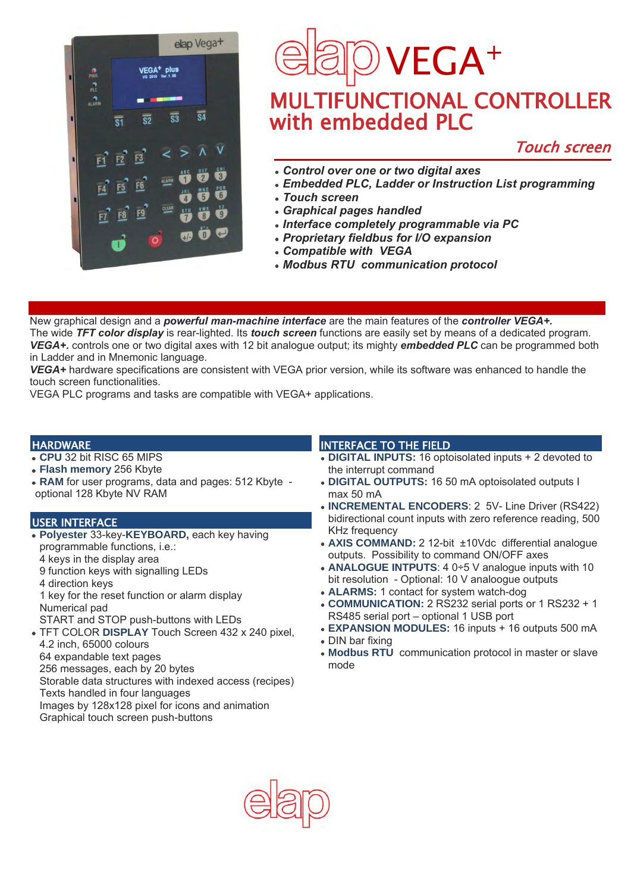

### VEGA<sup>+</sup>  $\overline{\phantom{a}}$ MULTIFUNCTIONAL CONTROLLER with embedded PLC

### Touch screen

- *Control over one or two digital axes*
- *Embedded PLC, Ladder or Instruction List programming*
- *Touch screen*
- *Graphical pages handled*
- *Interface completely programmable via PC*
- *Proprietary fieldbus for I/O expansion*
- *Compatible with VEGA*
- *Modbus RTU communication protocol*

New graphical design and a *powerful man-machine interface* are the main features of the *controller VEGA+.* The wide *TFT color display* is rear-lighted. Its *touch screen* functions are easily set by means of a dedicated program. *VEGA+.* controls one or two digital axes with 12 bit analogue output; its mighty *embedded PLC* can be programmed both in Ladder and in Mnemonic language.

*VEGA+* hardware specifications are consistent with VEGA prior version, while its software was enhanced to handle the touch screen functionalities.

VEGA PLC programs and tasks are compatible with VEGA+ applications.

### **HARDWARE**

- **CPU** 32 bit RISC 65 MIPS
- **Flash memory** 256 Kbyte
- **RAM** for user programs, data and pages: 512 Kbyte optional 128 Kbyte NV RAM

#### USER INTERFACE

- **Polyester** 33-key-**KEYBOARD,** each key having programmable functions, i.e.: 4 keys in the display area
	- 9 function keys with signalling LEDs
	- 4 direction keys

1 key for the reset function or alarm display Numerical pad

START and STOP push-buttons with LEDs

- TFT COLOR **DISPLAY** Touch Screen 432 x 240 pixel, 4.2 inch, 65000 colours 64 expandable text pages
- 256 messages, each by 20 bytes

Storable data structures with indexed access (recipes) Texts handled in four languages

Images by 128x128 pixel for icons and animation Graphical touch screen push-buttons

### INTERFACE TO THE FIELD

- **DIGITAL INPUTS:** 16 optoisolated inputs + 2 devoted to the interrupt command
- **DIGITAL OUTPUTS:** 16 50 mA optoisolated outputs I max 50 mA
- **INCREMENTAL ENCODERS**: 2 5V- Line Driver (RS422) bidirectional count inputs with zero reference reading, 500 KHz frequency
- **AXIS COMMAND:** 2 12-bit ±10Vdc differential analogue outputs. Possibility to command ON/OFF axes
- **ANALOGUE INTPUTS**: 4 0÷5 V analogue inputs with 10 bit resolution - Optional: 10 V analoogue outputs
- **ALARMS:** 1 contact for system watch-dog
- **COMMUNICATION:** 2 RS232 serial ports or 1 RS232 + 1 RS485 serial port – optional 1 USB port
- **EXPANSION MODULES:** 16 inputs + 16 outputs 500 mA DIN bar fixing
- 
- **Modbus RTU** communication protocol in master or slave mode

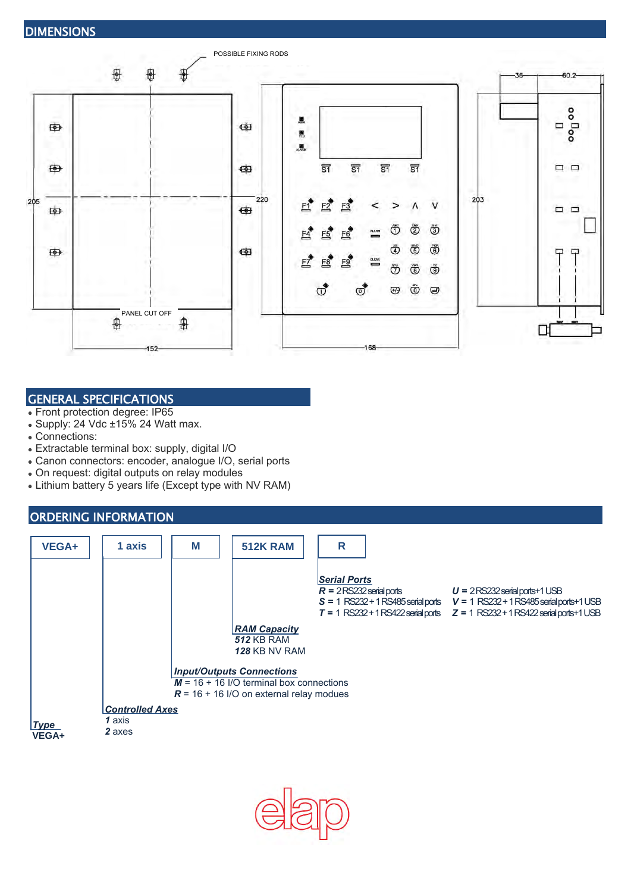

### GENERAL SPECIFICATIONS

- Front protection degree: IP65
- $\bullet$  Supply: 24 Vdc  $\pm 15\%$  24 Watt max.
- Connections:
- Extractable terminal box: supply, digital I/O
- Canon connectors: encoder, analogue I/O, serial ports
- On request: digital outputs on relay modules
- Lithium battery 5 years life (Except type with NV RAM)

### ORDERING INFORMATION

| <b>VEGA+</b>             | 1 axis                                                                                                                       | M | <b>512K RAM</b>                                           | $\mathsf{R}$                                      |                                                                                                                                                                                                            |  |  |  |  |  |
|--------------------------|------------------------------------------------------------------------------------------------------------------------------|---|-----------------------------------------------------------|---------------------------------------------------|------------------------------------------------------------------------------------------------------------------------------------------------------------------------------------------------------------|--|--|--|--|--|
|                          |                                                                                                                              |   |                                                           | <b>Serial Ports</b><br>$R = 2$ RS232 serial ports | $U = 2$ RS232 serial ports+1 USB<br>$S = 1$ RS232 + 1 RS485 serial ports $V = 1$ RS232 + 1 RS485 serial ports + 1 USB<br>$T = 1$ RS232 + 1 RS422 serial ports $Z = 1$ RS232 + 1 RS422 serial ports + 1 USB |  |  |  |  |  |
|                          |                                                                                                                              |   | <b>RAM Capacity</b><br><b>512 KB RAM</b><br>128 KB NV RAM |                                                   |                                                                                                                                                                                                            |  |  |  |  |  |
|                          | <b>Input/Outputs Connections</b><br>$M = 16 + 16$ I/O terminal box connections<br>$R = 16 + 16$ I/O on external relay modues |   |                                                           |                                                   |                                                                                                                                                                                                            |  |  |  |  |  |
| $\mathsf{Type}$<br>VEGA+ | <b>Controlled Axes</b><br>1 axis<br>2 axes                                                                                   |   |                                                           |                                                   |                                                                                                                                                                                                            |  |  |  |  |  |

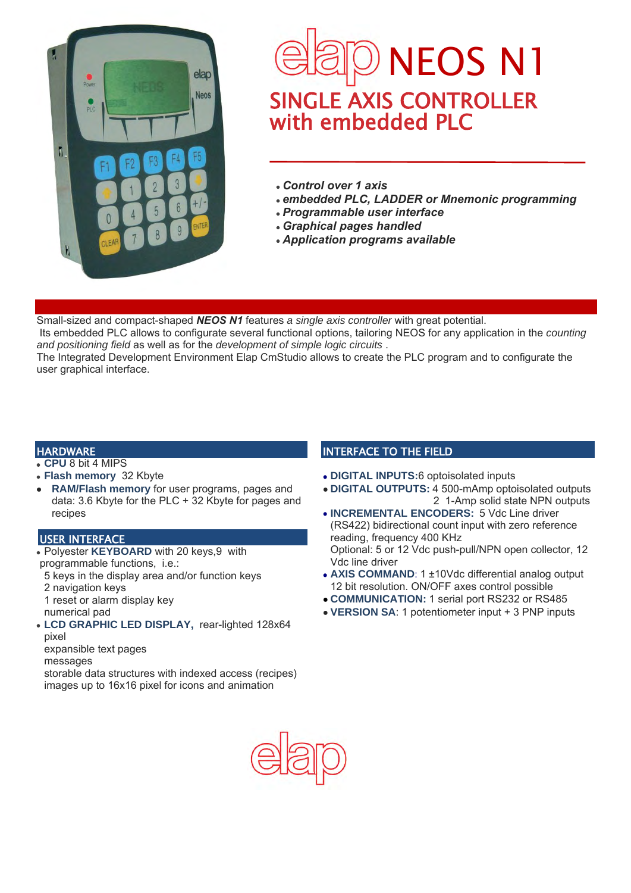

## $\overline{\phantom{a}}$ SINGLE AXIS CONTROLLER with embedded PLC NEOS N1

- *Control over 1 axis*
- *embedded PLC, LADDER or Mnemonic programming*
- *Programmable user interface*
- *Graphical pages handled*
- *Application programs available*

Small-sized and compact-shaped *NEOS N1* features *a single axis controller* with great potential.

Its embedded PLC allows to configurate several functional options, tailoring NEOS for any application in the *counting and positioning field* as well as for the *development of simple logic circuits* .

The Integrated Development Environment Elap CmStudio allows to create the PLC program and to configurate the user graphical interface.

### **HARDWARE**

- **CPU** 8 bit 4 MIPS
- **Flash memory** 32 Kbyte
- **RAM/Flash memory** for user programs, pages and data: 3.6 Kbyte for the PLC + 32 Kbyte for pages and recipes

### USER INTERFACE

- Polyester **KEYBOARD** with 20 keys,9 with programmable functions, i.e.:
	- 5 keys in the display area and/or function keys
	- 2 navigation keys
	- 1 reset or alarm display key
	- numerical pad
- **LCD GRAPHIC LED DISPLAY,** rear-lighted 128x64 pixel
- expansible text pages
- messages

storable data structures with indexed access (recipes) images up to 16x16 pixel for icons and animation

### INTERFACE TO THE FIELD

- **DIGITAL INPUTS:**6 optoisolated inputs
- **DIGITAL OUTPUTS:** 4 500-mAmp optoisolated outputs 2 1-Amp solid state NPN outputs
- **INCREMENTAL ENCODERS:** 5 Vdc Line driver (RS422) bidirectional count input with zero reference reading, frequency 400 KHz Optional: 5 or 12 Vdc push-pull/NPN open collector, 12 Vdc line driver
- **AXIS COMMAND**: 1 ±10Vdc differential analog output 12 bit resolution. ON/OFF axes control possible
- **COMMUNICATION:** 1 serial port RS232 or RS485
- **VERSION SA**: 1 potentiometer input + 3 PNP inputs

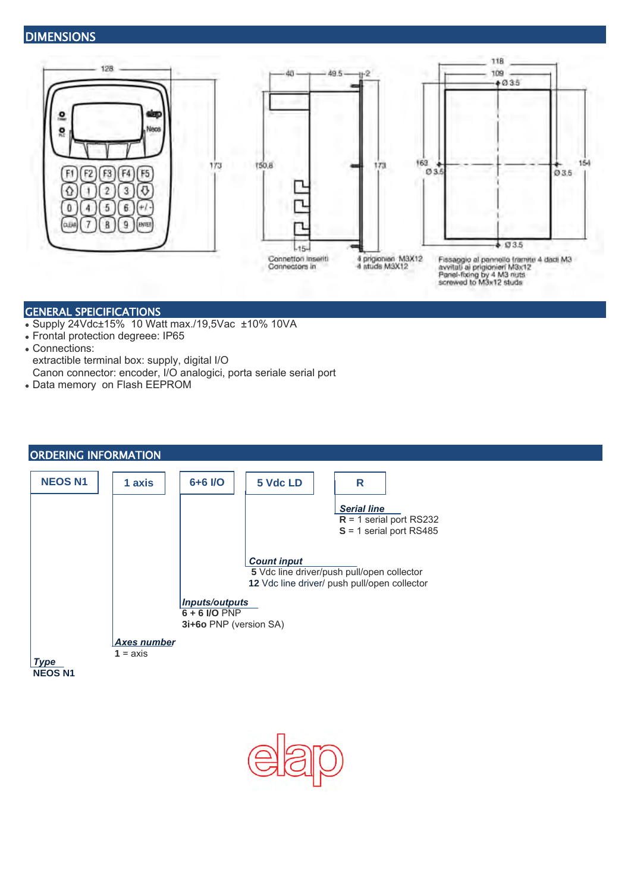### **DIMENSIONS**



### GENERAL SPEICIFICATIONS

- Supply 24Vdc±15% 10 Watt max./19,5Vac ±10% 10VA
- Frontal protection degreee: IP65
- Connections:
- extractible terminal box: supply, digital I/O
- Canon connector: encoder, I/O analogici, porta seriale serial port
- Data memory on Flash EEPROM